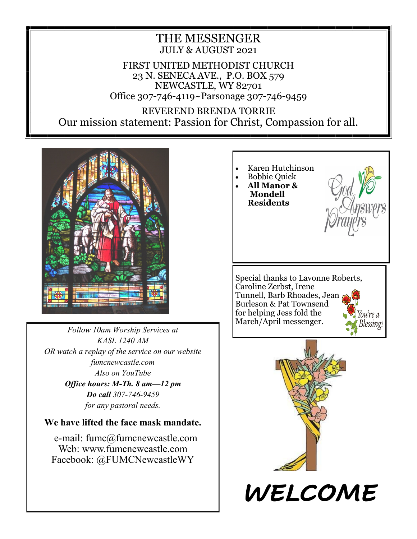#### THE MESSENGER JULY & AUGUST 2021

FIRST UNITED METHODIST CHURCH 23 N. SENECA AVE., P.O. BOX 579 NEWCASTLE, WY 82701 Office 307-746-4119~Parsonage 307-746-9459

REVEREND BRENDA TORRIE Our mission statement: Passion for Christ, Compassion for all.



*Follow 10am Worship Services at KASL 1240 AM OR watch a replay of the service on our website fumcnewcastle.com Also on YouTube Office hours: M-Th. 8 am—12 pm Do call 307-746-9459 for any pastoral needs.*

**We have lifted the face mask mandate.**

e-mail: fumc@fumcnewcastle.com Web: www.fumcnewcastle.com Facebook: @FUMCNewcastleWY

• Karen Hutchinson • Bobbie Quick • **All Manor & Mondell Residents** Special thanks to Lavonne Roberts, Caroline Zerbst, Irene Tunnell, Barb Rhoades, Jean Burleson & Pat Townsend for helping Jess fold the ou're a March/April messenger. Blessing! *WELCOME*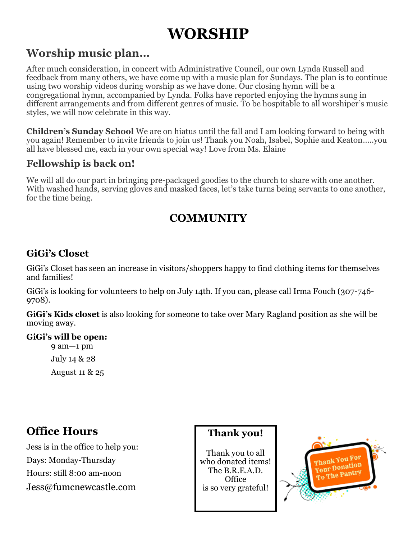# **WORSHIP**

# **Worship music plan…**

After much consideration, in concert with Administrative Council, our own Lynda Russell and feedback from many others, we have come up with a music plan for Sundays. The plan is to continue using two worship videos during worship as we have done. Our closing hymn will be a congregational hymn, accompanied by Lynda. Folks have reported enjoying the hymns sung in different arrangements and from different genres of music. To be hospitable to all worshiper's music styles, we will now celebrate in this way.

**Children's Sunday School** We are on hiatus until the fall and I am looking forward to being with you again! Remember to invite friends to join us! Thank you Noah, Isabel, Sophie and Keaton…..you all have blessed me, each in your own special way! Love from Ms. Elaine

#### **Fellowship is back on!**

We will all do our part in bringing pre-packaged goodies to the church to share with one another. With washed hands, serving gloves and masked faces, let's take turns being servants to one another, for the time being.

## **COMMUNITY**

### **GiGi's Closet**

GiGi's Closet has seen an increase in visitors/shoppers happy to find clothing items for themselves and families!

GiGi's is looking for volunteers to help on July 14th. If you can, please call Irma Fouch (307-746- 9708).

**GiGi's Kids closet** is also looking for someone to take over Mary Ragland position as she will be moving away.

#### **GiGi's will be open:**

9 am—1 pm July 14 & 28 August 11 & 25

## **Office Hours**

Jess is in the office to help you: Days: Monday-Thursday Hours: still 8:00 am-noon Jess@fumcnewcastle.com

#### **Thank you!**

Thank you to all who donated items! The B.R.E.A.D. **Office** is so very grateful!